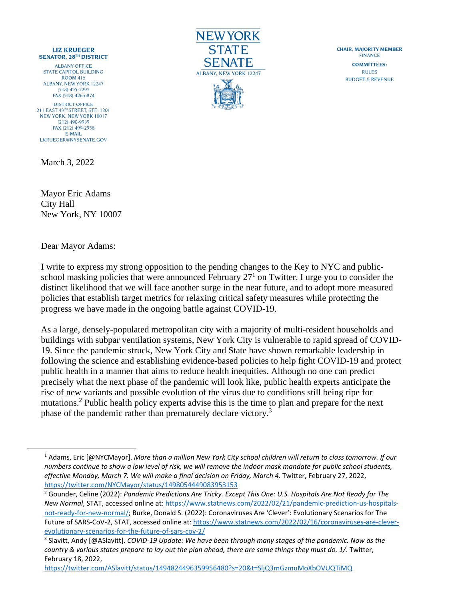## **LIZ KRUEGER SENATOR. 28TH DISTRICT**

**ALBANY OFFICE STATE CAPITOL BUILDING ROOM 416 ALBANY, NEW YORK 12247**  $(518)$  455-2297 FAX (518) 426-6874 **DISTRICT OFFICE** 211 EAST 43RD STREET, STE. 1201 **NEW YORK, NEW YORK 10017**  $(212)$  490-9535 FAX (212) 499-2558 E-MAIL LKRUEGER@NYSENATE.GOV

March 3, 2022



Dear Mayor Adams:



**CHAIR, MAIORITY MEMBER FINANCE COMMITTEES: RULES BUDGET & REVENUE** 

I write to express my strong opposition to the pending changes to the Key to NYC and publicschool masking policies that were announced February  $27<sup>1</sup>$  on Twitter. I urge you to consider the distinct likelihood that we will face another surge in the near future, and to adopt more measured policies that establish target metrics for relaxing critical safety measures while protecting the progress we have made in the ongoing battle against COVID-19.

As a large, densely-populated metropolitan city with a majority of multi-resident households and buildings with subpar ventilation systems, New York City is vulnerable to rapid spread of COVID-19. Since the pandemic struck, New York City and State have shown remarkable leadership in following the science and establishing evidence-based policies to help fight COVID-19 and protect public health in a manner that aims to reduce health inequities. Although no one can predict precisely what the next phase of the pandemic will look like, public health experts anticipate the rise of new variants and possible evolution of the virus due to conditions still being ripe for mutations.<sup>2</sup> Public health policy experts advise this is the time to plan and prepare for the next phase of the pandemic rather than prematurely declare victory.<sup>3</sup>

<https://twitter.com/ASlavitt/status/1494824496359956480?s=20&t=SljQ3mGzmuMoXbOVUQTiMQ>

<sup>1</sup> Adams, Eric [@NYCMayor]. *More than a million New York City school children will return to class tomorrow. If our numbers continue to show a low level of risk, we will remove the indoor mask mandate for public school students, effective Monday, March 7. We will make a final decision on Friday, March 4.* Twitter, February 27, 2022, <https://twitter.com/NYCMayor/status/1498054449083953153>

<sup>2</sup> Gounder, Celine (2022): *Pandemic Predictions Are Tricky. Except This One: U.S. Hospitals Are Not Ready for The New Normal*, STAT, accessed online at[: https://www.statnews.com/2022/02/21/pandemic-prediction-us-hospitals](https://www.statnews.com/2022/02/21/pandemic-prediction-us-hospitals-not-ready-for-new-normal/)[not-ready-for-new-normal/](https://www.statnews.com/2022/02/21/pandemic-prediction-us-hospitals-not-ready-for-new-normal/); Burke, Donald S. (2022): Coronaviruses Are 'Clever': Evolutionary Scenarios for The Future of SARS-CoV-2, STAT, accessed online at: [https://www.statnews.com/2022/02/16/coronaviruses-are-clever](https://www.statnews.com/2022/02/16/coronaviruses-are-clever-evolutionary-scenarios-for-the-future-of-sars-cov-2/)[evolutionary-scenarios-for-the-future-of-sars-cov-2/](https://www.statnews.com/2022/02/16/coronaviruses-are-clever-evolutionary-scenarios-for-the-future-of-sars-cov-2/)

<sup>3</sup> Slavitt, Andy [@ASlavitt]. *COVID-19 Update: We have been through many stages of the pandemic. Now as the country & various states prepare to lay out the plan ahead, there are some things they must do. 1/*. Twitter, February 18, 2022,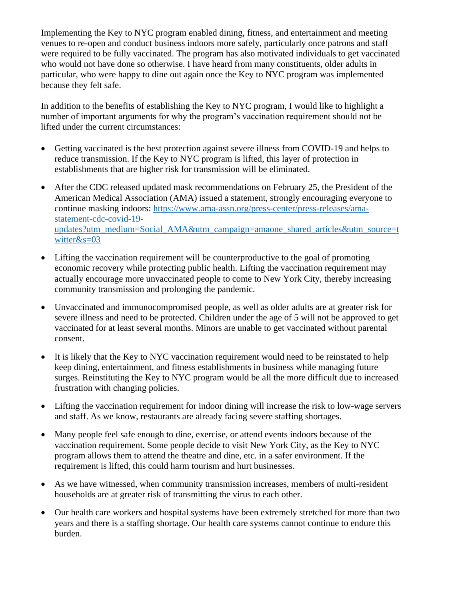Implementing the Key to NYC program enabled dining, fitness, and entertainment and meeting venues to re-open and conduct business indoors more safely, particularly once patrons and staff were required to be fully vaccinated. The program has also motivated individuals to get vaccinated who would not have done so otherwise. I have heard from many constituents, older adults in particular, who were happy to dine out again once the Key to NYC program was implemented because they felt safe.

In addition to the benefits of establishing the Key to NYC program, I would like to highlight a number of important arguments for why the program's vaccination requirement should not be lifted under the current circumstances:

- Getting vaccinated is the best protection against severe illness from COVID-19 and helps to reduce transmission. If the Key to NYC program is lifted, this layer of protection in establishments that are higher risk for transmission will be eliminated.
- After the CDC released updated mask recommendations on February 25, the President of the American Medical Association (AMA) issued a statement, strongly encouraging everyone to continue masking indoors: [https://www.ama-assn.org/press-center/press-releases/ama](https://www.ama-assn.org/press-center/press-releases/ama-statement-cdc-covid-19-updates?utm_medium=Social_AMA&utm_campaign=amaone_shared_articles&utm_source=twitter&s=03)[statement-cdc-covid-19](https://www.ama-assn.org/press-center/press-releases/ama-statement-cdc-covid-19-updates?utm_medium=Social_AMA&utm_campaign=amaone_shared_articles&utm_source=twitter&s=03) [updates?utm\\_medium=Social\\_AMA&utm\\_campaign=amaone\\_shared\\_articles&utm\\_source=t](https://www.ama-assn.org/press-center/press-releases/ama-statement-cdc-covid-19-updates?utm_medium=Social_AMA&utm_campaign=amaone_shared_articles&utm_source=twitter&s=03) [witter&s=03](https://www.ama-assn.org/press-center/press-releases/ama-statement-cdc-covid-19-updates?utm_medium=Social_AMA&utm_campaign=amaone_shared_articles&utm_source=twitter&s=03)
- Lifting the vaccination requirement will be counterproductive to the goal of promoting economic recovery while protecting public health. Lifting the vaccination requirement may actually encourage more unvaccinated people to come to New York City, thereby increasing community transmission and prolonging the pandemic.
- Unvaccinated and immunocompromised people, as well as older adults are at greater risk for severe illness and need to be protected. Children under the age of 5 will not be approved to get vaccinated for at least several months. Minors are unable to get vaccinated without parental consent.
- It is likely that the Key to NYC vaccination requirement would need to be reinstated to help keep dining, entertainment, and fitness establishments in business while managing future surges. Reinstituting the Key to NYC program would be all the more difficult due to increased frustration with changing policies.
- Lifting the vaccination requirement for indoor dining will increase the risk to low-wage servers and staff. As we know, restaurants are already facing severe staffing shortages.
- Many people feel safe enough to dine, exercise, or attend events indoors because of the vaccination requirement. Some people decide to visit New York City, as the Key to NYC program allows them to attend the theatre and dine, etc. in a safer environment. If the requirement is lifted, this could harm tourism and hurt businesses.
- As we have witnessed, when community transmission increases, members of multi-resident households are at greater risk of transmitting the virus to each other.
- Our health care workers and hospital systems have been extremely stretched for more than two years and there is a staffing shortage. Our health care systems cannot continue to endure this burden.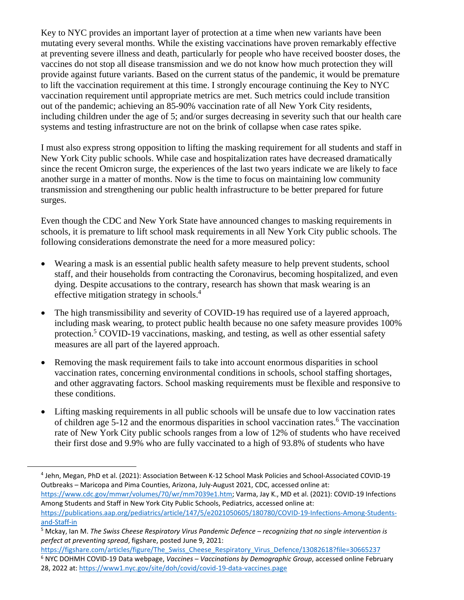Key to NYC provides an important layer of protection at a time when new variants have been mutating every several months. While the existing vaccinations have proven remarkably effective at preventing severe illness and death, particularly for people who have received booster doses, the vaccines do not stop all disease transmission and we do not know how much protection they will provide against future variants. Based on the current status of the pandemic, it would be premature to lift the vaccination requirement at this time. I strongly encourage continuing the Key to NYC vaccination requirement until appropriate metrics are met. Such metrics could include transition out of the pandemic; achieving an 85-90% vaccination rate of all New York City residents, including children under the age of 5; and/or surges decreasing in severity such that our health care systems and testing infrastructure are not on the brink of collapse when case rates spike.

I must also express strong opposition to lifting the masking requirement for all students and staff in New York City public schools. While case and hospitalization rates have decreased dramatically since the recent Omicron surge, the experiences of the last two years indicate we are likely to face another surge in a matter of months. Now is the time to focus on maintaining low community transmission and strengthening our public health infrastructure to be better prepared for future surges.

Even though the CDC and New York State have announced changes to masking requirements in schools, it is premature to lift school mask requirements in all New York City public schools. The following considerations demonstrate the need for a more measured policy:

- Wearing a mask is an essential public health safety measure to help prevent students, school staff, and their households from contracting the Coronavirus, becoming hospitalized, and even dying. Despite accusations to the contrary, research has shown that mask wearing is an effective mitigation strategy in schools.<sup>4</sup>
- The high transmissibility and severity of COVID-19 has required use of a layered approach, including mask wearing, to protect public health because no one safety measure provides 100% protection.<sup>5</sup> COVID-19 vaccinations, masking, and testing, as well as other essential safety measures are all part of the layered approach.
- Removing the mask requirement fails to take into account enormous disparities in school vaccination rates, concerning environmental conditions in schools, school staffing shortages, and other aggravating factors. School masking requirements must be flexible and responsive to these conditions.
- Lifting masking requirements in all public schools will be unsafe due to low vaccination rates of children age 5-12 and the enormous disparities in school vaccination rates.<sup>6</sup> The vaccination rate of New York City public schools ranges from a low of 12% of students who have received their first dose and 9.9% who are fully vaccinated to a high of 93.8% of students who have

Among Students and Staff in New York City Public Schools, Pediatrics, accessed online at:

<sup>4</sup> Jehn, Megan, PhD et al. (2021): Association Between K-12 School Mask Policies and School-Associated COVID-19 Outbreaks – Maricopa and Pima Counties, Arizona, July-August 2021, CDC, accessed online at: [https://www.cdc.gov/mmwr/volumes/70/wr/mm7039e1.htm;](https://www.cdc.gov/mmwr/volumes/70/wr/mm7039e1.htm) Varma, Jay K., MD et al. (2021): COVID-19 Infections

[https://publications.aap.org/pediatrics/article/147/5/e2021050605/180780/COVID-19-Infections-Among-Students](https://publications.aap.org/pediatrics/article/147/5/e2021050605/180780/COVID-19-Infections-Among-Students-and-Staff-in)[and-Staff-in](https://publications.aap.org/pediatrics/article/147/5/e2021050605/180780/COVID-19-Infections-Among-Students-and-Staff-in)

<sup>5</sup> Mckay, Ian M. *The Swiss Cheese Respiratory Virus Pandemic Defence – recognizing that no single intervention is perfect at preventing spread*, figshare, posted June 9, 2021:

[https://figshare.com/articles/figure/The\\_Swiss\\_Cheese\\_Respiratory\\_Virus\\_Defence/13082618?file=30665237](https://figshare.com/articles/figure/The_Swiss_Cheese_Respiratory_Virus_Defence/13082618?file=30665237) <sup>6</sup> NYC DOHMH COVID-19 Data webpage, *Vaccines – Vaccinations by Demographic Group*, accessed online February 28, 2022 at[: https://www1.nyc.gov/site/doh/covid/covid-19-data-vaccines.page](https://www1.nyc.gov/site/doh/covid/covid-19-data-vaccines.page)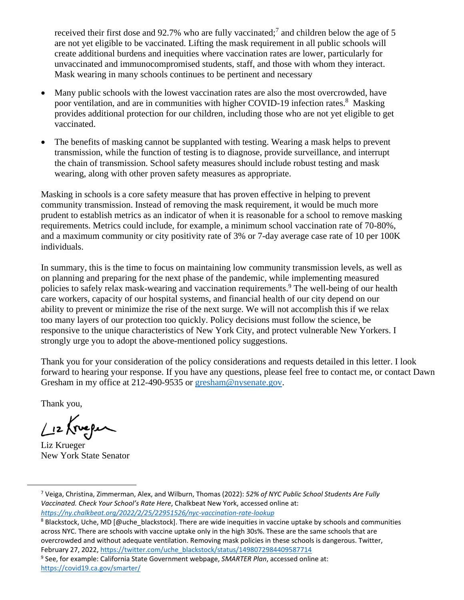received their first dose and 92.7% who are fully vaccinated;<sup>7</sup> and children below the age of 5 are not yet eligible to be vaccinated. Lifting the mask requirement in all public schools will create additional burdens and inequities where vaccination rates are lower, particularly for unvaccinated and immunocompromised students, staff, and those with whom they interact. Mask wearing in many schools continues to be pertinent and necessary

- Many public schools with the lowest vaccination rates are also the most overcrowded, have poor ventilation, and are in communities with higher COVID-19 infection rates.<sup>8</sup> Masking provides additional protection for our children, including those who are not yet eligible to get vaccinated.
- The benefits of masking cannot be supplanted with testing. Wearing a mask helps to prevent transmission, while the function of testing is to diagnose, provide surveillance, and interrupt the chain of transmission. School safety measures should include robust testing and mask wearing, along with other proven safety measures as appropriate.

Masking in schools is a core safety measure that has proven effective in helping to prevent community transmission. Instead of removing the mask requirement, it would be much more prudent to establish metrics as an indicator of when it is reasonable for a school to remove masking requirements. Metrics could include, for example, a minimum school vaccination rate of 70-80%, and a maximum community or city positivity rate of 3% or 7-day average case rate of 10 per 100K individuals.

In summary, this is the time to focus on maintaining low community transmission levels, as well as on planning and preparing for the next phase of the pandemic, while implementing measured policies to safely relax mask-wearing and vaccination requirements.<sup>9</sup> The well-being of our health care workers, capacity of our hospital systems, and financial health of our city depend on our ability to prevent or minimize the rise of the next surge. We will not accomplish this if we relax too many layers of our protection too quickly. Policy decisions must follow the science, be responsive to the unique characteristics of New York City, and protect vulnerable New Yorkers. I strongly urge you to adopt the above-mentioned policy suggestions.

Thank you for your consideration of the policy considerations and requests detailed in this letter. I look forward to hearing your response. If you have any questions, please feel free to contact me, or contact Dawn Gresham in my office at 212-490-9535 or [gresham@nysenate.gov.](mailto:gresham@nysenate.gov)

Thank you,

 $Li2$  (reper

Liz Krueger New York State Senator

<sup>7</sup> Veiga, Christina, Zimmerman, Alex, and Wilburn, Thomas (2022): *52% of NYC Public School Students Are Fully Vaccinated. Check Your School's Rate Here*, Chalkbeat New York, accessed online at: *<https://ny.chalkbeat.org/2022/2/25/22951526/nyc-vaccination-rate-lookup>*

<sup>&</sup>lt;sup>8</sup> Blackstock, Uche, MD [@uche\_blackstock]. There are wide inequities in vaccine uptake by schools and communities across NYC. There are schools with vaccine uptake only in the high 30s%. These are the same schools that are overcrowded and without adequate ventilation. Removing mask policies in these schools is dangerous. Twitter, February 27, 2022[, https://twitter.com/uche\\_blackstock/status/1498072984409587714](https://twitter.com/uche_blackstock/status/1498072984409587714)

<sup>9</sup> See, for example: California State Government webpage, *SMARTER Plan*, accessed online at: <https://covid19.ca.gov/smarter/>